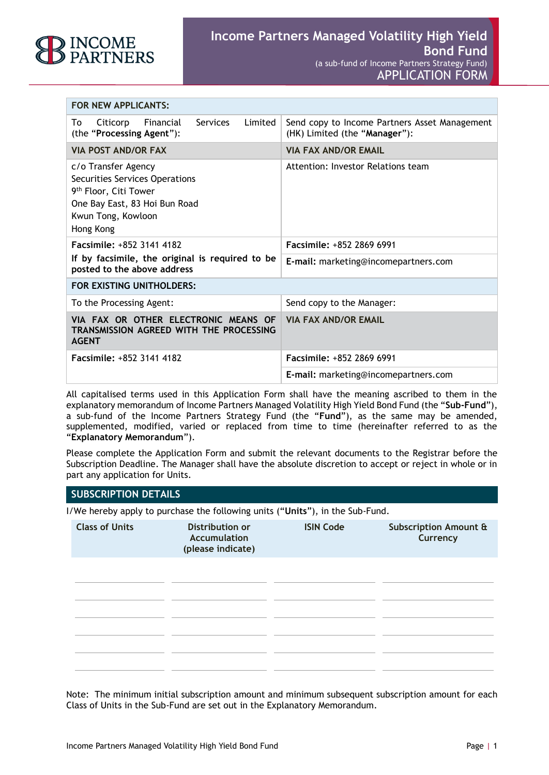

| FOR NEW APPLICANTS:                                                                                                                                            |                                                                                |
|----------------------------------------------------------------------------------------------------------------------------------------------------------------|--------------------------------------------------------------------------------|
| Financial<br>Services<br>Limited<br>Citicorp<br>To<br>(the "Processing Agent"):                                                                                | Send copy to Income Partners Asset Management<br>(HK) Limited (the "Manager"): |
| <b>VIA POST AND/OR FAX</b>                                                                                                                                     | <b>VIA FAX AND/OR EMAIL</b>                                                    |
| c/o Transfer Agency<br>Securities Services Operations<br>9 <sup>th</sup> Floor, Citi Tower<br>One Bay East, 83 Hoi Bun Road<br>Kwun Tong, Kowloon<br>Hong Kong | Attention: Investor Relations team                                             |
| Facsimile: +852 3141 4182                                                                                                                                      | Facsimile: +852 2869 6991                                                      |
| If by facsimile, the original is required to be<br>posted to the above address                                                                                 | E-mail: marketing@incomepartners.com                                           |
| FOR EXISTING UNITHOLDERS:                                                                                                                                      |                                                                                |
| To the Processing Agent:                                                                                                                                       | Send copy to the Manager:                                                      |
| VIA FAX OR OTHER ELECTRONIC MEANS OF<br>TRANSMISSION AGREED WITH THE PROCESSING<br><b>AGENT</b>                                                                | <b>VIA FAX AND/OR EMAIL</b>                                                    |
| <b>Facsimile: +852 3141 4182</b>                                                                                                                               | <b>Facsimile: +852 2869 6991</b>                                               |
|                                                                                                                                                                | E-mail: marketing@incomepartners.com                                           |

All capitalised terms used in this Application Form shall have the meaning ascribed to them in the explanatory memorandum of Income Partners Managed Volatility High Yield Bond Fund (the "**Sub-Fund**"), a sub-fund of the Income Partners Strategy Fund (the "**Fund**"), as the same may be amended, supplemented, modified, varied or replaced from time to time (hereinafter referred to as the "**Explanatory Memorandum**").

Please complete the Application Form and submit the relevant documents to the Registrar before the Subscription Deadline. The Manager shall have the absolute discretion to accept or reject in whole or in part any application for Units.

#### **SUBSCRIPTION DETAILS**

I/We hereby apply to purchase the following units ("**Units**"), in the Sub-Fund.

| <b>Class of Units</b> | <b>Distribution or</b><br><b>Accumulation</b><br>(please indicate) | <b>ISIN Code</b> | Subscription Amount &<br>Currency |
|-----------------------|--------------------------------------------------------------------|------------------|-----------------------------------|
|                       |                                                                    |                  |                                   |
|                       |                                                                    |                  |                                   |
|                       |                                                                    |                  |                                   |
|                       |                                                                    |                  |                                   |
|                       |                                                                    |                  |                                   |

Note: The minimum initial subscription amount and minimum subsequent subscription amount for each Class of Units in the Sub-Fund are set out in the Explanatory Memorandum.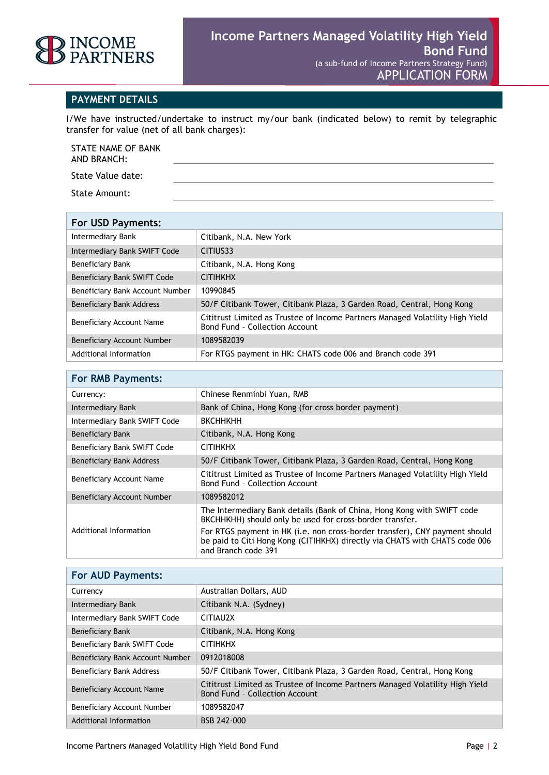

#### **PAYMENT DETAILS**

I/We have instructed/undertake to instruct my/our bank (indicated below) to remit by telegraphic transfer for value (net of all bank charges):

STATE NAME OF BANK AND BRANCH:

State Value date:

State Amount:

| For USD Payments:               |                                                                                                                 |
|---------------------------------|-----------------------------------------------------------------------------------------------------------------|
| Intermediary Bank               | Citibank, N.A. New York                                                                                         |
| Intermediary Bank SWIFT Code    | CITIUS33                                                                                                        |
| Beneficiary Bank                | Citibank, N.A. Hong Kong                                                                                        |
| Beneficiary Bank SWIFT Code     | <b>CITIHKHX</b>                                                                                                 |
| Beneficiary Bank Account Number | 10990845                                                                                                        |
| <b>Beneficiary Bank Address</b> | 50/F Citibank Tower, Citibank Plaza, 3 Garden Road, Central, Hong Kong                                          |
| Beneficiary Account Name        | Cititrust Limited as Trustee of Income Partners Managed Volatility High Yield<br>Bond Fund - Collection Account |
| Beneficiary Account Number      | 1089582039                                                                                                      |
| Additional Information          | For RTGS payment in HK: CHATS code 006 and Branch code 391                                                      |

### **For RMB Payments:**

| Currency:                    | Chinese Renminbi Yuan, RMB                                                                                                                                                        |
|------------------------------|-----------------------------------------------------------------------------------------------------------------------------------------------------------------------------------|
| Intermediary Bank            | Bank of China, Hong Kong (for cross border payment)                                                                                                                               |
| Intermediary Bank SWIFT Code | <b>ВКСННКНН</b>                                                                                                                                                                   |
| Beneficiary Bank             | Citibank, N.A. Hong Kong                                                                                                                                                          |
| Beneficiary Bank SWIFT Code  | <b>CITIHKHX</b>                                                                                                                                                                   |
| Beneficiary Bank Address     | 50/F Citibank Tower, Citibank Plaza, 3 Garden Road, Central, Hong Kong                                                                                                            |
| Beneficiary Account Name     | Cititrust Limited as Trustee of Income Partners Managed Volatility High Yield<br>Bond Fund - Collection Account                                                                   |
| Beneficiary Account Number   | 1089582012                                                                                                                                                                        |
|                              | The Intermediary Bank details (Bank of China, Hong Kong with SWIFT code<br>BKCHHKHH) should only be used for cross-border transfer.                                               |
| Additional Information       | For RTGS payment in HK (i.e. non cross-border transfer), CNY payment should<br>be paid to Citi Hong Kong (CITIHKHX) directly via CHATS with CHATS code 006<br>and Branch code 391 |

| <b>For AUD Payments:</b>        |                                                                                                                        |
|---------------------------------|------------------------------------------------------------------------------------------------------------------------|
| Currency                        | Australian Dollars, AUD                                                                                                |
| Intermediary Bank               | Citibank N.A. (Sydney)                                                                                                 |
| Intermediary Bank SWIFT Code    | CITIAU2X                                                                                                               |
| Beneficiary Bank                | Citibank, N.A. Hong Kong                                                                                               |
| Beneficiary Bank SWIFT Code     | <b>CITIHKHX</b>                                                                                                        |
| Beneficiary Bank Account Number | 0912018008                                                                                                             |
| Beneficiary Bank Address        | 50/F Citibank Tower, Citibank Plaza, 3 Garden Road, Central, Hong Kong                                                 |
| Beneficiary Account Name        | Cititrust Limited as Trustee of Income Partners Managed Volatility High Yield<br><b>Bond Fund - Collection Account</b> |
| Beneficiary Account Number      | 1089582047                                                                                                             |
| Additional Information          | BSB 242-000                                                                                                            |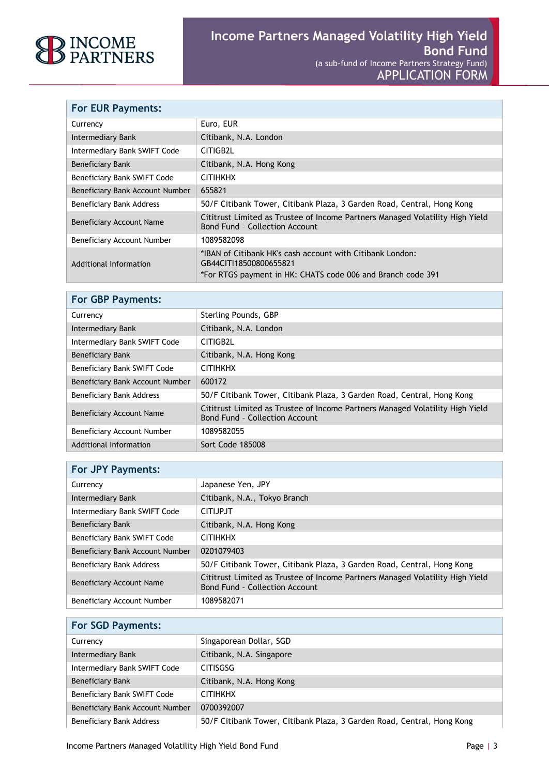

| <b>For EUR Payments:</b>        |                                                                                                                                                    |
|---------------------------------|----------------------------------------------------------------------------------------------------------------------------------------------------|
| Currency                        | Euro, EUR                                                                                                                                          |
| Intermediary Bank               | Citibank, N.A. London                                                                                                                              |
| Intermediary Bank SWIFT Code    | CITIGB2L                                                                                                                                           |
| <b>Beneficiary Bank</b>         | Citibank, N.A. Hong Kong                                                                                                                           |
| Beneficiary Bank SWIFT Code     | <b>CITIHKHX</b>                                                                                                                                    |
| Beneficiary Bank Account Number | 655821                                                                                                                                             |
| Beneficiary Bank Address        | 50/F Citibank Tower, Citibank Plaza, 3 Garden Road, Central, Hong Kong                                                                             |
| Beneficiary Account Name        | Cititrust Limited as Trustee of Income Partners Managed Volatility High Yield<br>Bond Fund - Collection Account                                    |
| Beneficiary Account Number      | 1089582098                                                                                                                                         |
| Additional Information          | *IBAN of Citibank HK's cash account with Citibank London:<br>GB44CITI18500800655821<br>*For RTGS payment in HK: CHATS code 006 and Branch code 391 |

| <b>For GBP Payments:</b>        |                                                                                                                 |
|---------------------------------|-----------------------------------------------------------------------------------------------------------------|
| Currency                        | Sterling Pounds, GBP                                                                                            |
| Intermediary Bank               | Citibank, N.A. London                                                                                           |
| Intermediary Bank SWIFT Code    | CITIGB2L                                                                                                        |
| Beneficiary Bank                | Citibank, N.A. Hong Kong                                                                                        |
| Beneficiary Bank SWIFT Code     | <b>CITIHKHX</b>                                                                                                 |
| Beneficiary Bank Account Number | 600172                                                                                                          |
| Beneficiary Bank Address        | 50/F Citibank Tower, Citibank Plaza, 3 Garden Road, Central, Hong Kong                                          |
| Beneficiary Account Name        | Cititrust Limited as Trustee of Income Partners Managed Volatility High Yield<br>Bond Fund - Collection Account |
| Beneficiary Account Number      | 1089582055                                                                                                      |
| Additional Information          | Sort Code 185008                                                                                                |

| <b>For JPY Payments:</b>        |                                                                                                                        |
|---------------------------------|------------------------------------------------------------------------------------------------------------------------|
| Currency                        | Japanese Yen, JPY                                                                                                      |
| Intermediary Bank               | Citibank, N.A., Tokyo Branch                                                                                           |
| Intermediary Bank SWIFT Code    | CITI.JP.JT                                                                                                             |
| Beneficiary Bank                | Citibank, N.A. Hong Kong                                                                                               |
| Beneficiary Bank SWIFT Code     | <b>CITIHKHX</b>                                                                                                        |
| Beneficiary Bank Account Number | 0201079403                                                                                                             |
| Beneficiary Bank Address        | 50/F Citibank Tower, Citibank Plaza, 3 Garden Road, Central, Hong Kong                                                 |
| Beneficiary Account Name        | Cititrust Limited as Trustee of Income Partners Managed Volatility High Yield<br><b>Bond Fund - Collection Account</b> |
| Beneficiary Account Number      | 1089582071                                                                                                             |

| <b>For SGD Payments:</b>        |                                                                        |
|---------------------------------|------------------------------------------------------------------------|
| Currency                        | Singaporean Dollar, SGD                                                |
| Intermediary Bank               | Citibank, N.A. Singapore                                               |
| Intermediary Bank SWIFT Code    | <b>CITISGSG</b>                                                        |
| Beneficiary Bank                | Citibank, N.A. Hong Kong                                               |
| Beneficiary Bank SWIFT Code     | <b>CITIHKHX</b>                                                        |
| Beneficiary Bank Account Number | 0700392007                                                             |
| Beneficiary Bank Address        | 50/F Citibank Tower, Citibank Plaza, 3 Garden Road, Central, Hong Kong |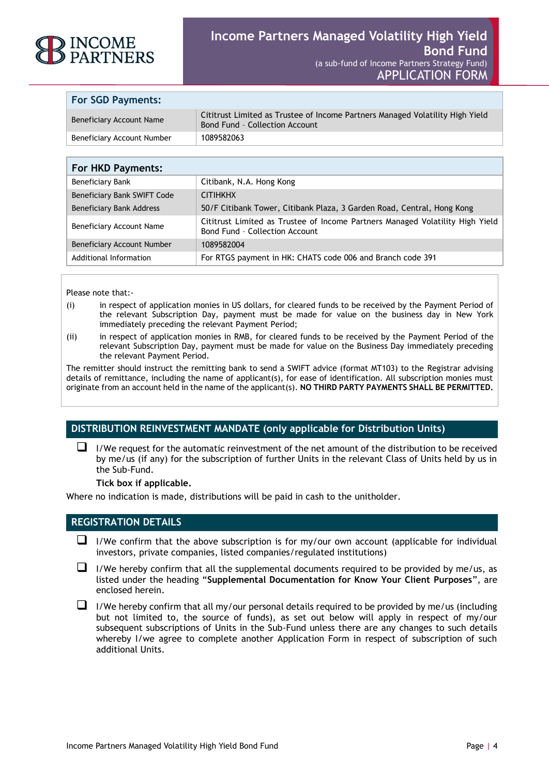

| <b>For SGD Payments:</b>   |                                                                                                                        |
|----------------------------|------------------------------------------------------------------------------------------------------------------------|
| Beneficiary Account Name   | Cititrust Limited as Trustee of Income Partners Managed Volatility High Yield<br><b>Bond Fund - Collection Account</b> |
| Beneficiary Account Number | 1089582063                                                                                                             |

| <b>For HKD Payments:</b>          |                                                                                                                        |
|-----------------------------------|------------------------------------------------------------------------------------------------------------------------|
| <b>Beneficiary Bank</b>           | Citibank, N.A. Hong Kong                                                                                               |
| Beneficiary Bank SWIFT Code       | <b>CITIHKHX</b>                                                                                                        |
| <b>Beneficiary Bank Address</b>   | 50/F Citibank Tower, Citibank Plaza, 3 Garden Road, Central, Hong Kong                                                 |
| Beneficiary Account Name          | Cititrust Limited as Trustee of Income Partners Managed Volatility High Yield<br><b>Bond Fund - Collection Account</b> |
| <b>Beneficiary Account Number</b> | 1089582004                                                                                                             |
| Additional Information            | For RTGS payment in HK: CHATS code 006 and Branch code 391                                                             |

Please note that:-

- (i) in respect of application monies in US dollars, for cleared funds to be received by the Payment Period of the relevant Subscription Day, payment must be made for value on the business day in New York immediately preceding the relevant Payment Period;
- (ii) in respect of application monies in RMB, for cleared funds to be received by the Payment Period of the relevant Subscription Day, payment must be made for value on the Business Day immediately preceding the relevant Payment Period.

The remitter should instruct the remitting bank to send a SWIFT advice (format MT103) to the Registrar advising details of remittance, including the name of applicant(s), for ease of identification. All subscription monies must originate from an account held in the name of the applicant(s). **NO THIRD PARTY PAYMENTS SHALL BE PERMITTED.**

#### **DISTRIBUTION REINVESTMENT MANDATE (only applicable for Distribution Units)**

 $\Box$  I/We request for the automatic reinvestment of the net amount of the distribution to be received by me/us (if any) for the subscription of further Units in the relevant Class of Units held by us in the Sub-Fund.

**Tick box if applicable.** 

Where no indication is made, distributions will be paid in cash to the unitholder.

#### **REGISTRATION DETAILS**

- $\Box$  I/We confirm that the above subscription is for my/our own account (applicable for individual investors, private companies, listed companies/regulated institutions)
- $\Box$  I/We hereby confirm that all the supplemental documents required to be provided by me/us, as listed under the heading "**Supplemental Documentation for Know Your Client Purposes**", are enclosed herein.
- $\Box$  I/We hereby confirm that all my/our personal details required to be provided by me/us (including but not limited to, the source of funds), as set out below will apply in respect of my/our subsequent subscriptions of Units in the Sub-Fund unless there are any changes to such details whereby I/we agree to complete another Application Form in respect of subscription of such additional Units.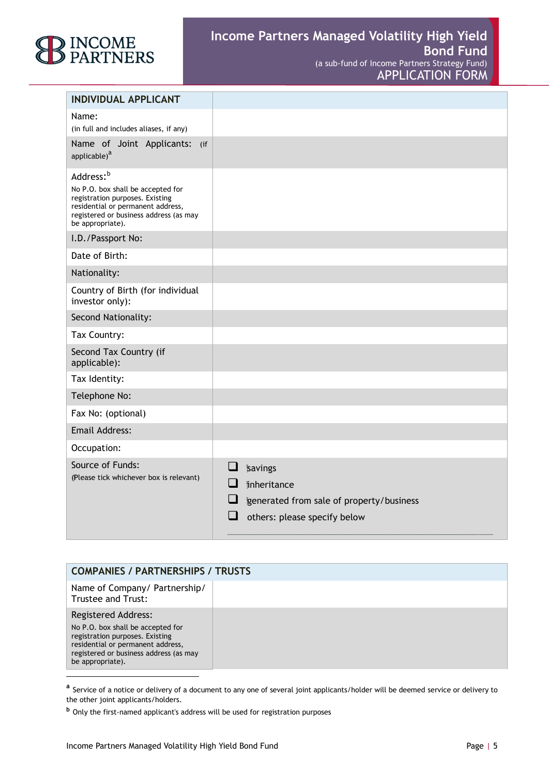# ) INCOME<br>) PARTNERS

| <b>INDIVIDUAL APPLICANT</b>                                                                                                                                                                      |                                                                                                                                            |
|--------------------------------------------------------------------------------------------------------------------------------------------------------------------------------------------------|--------------------------------------------------------------------------------------------------------------------------------------------|
| Name:<br>(in full and includes aliases, if any)                                                                                                                                                  |                                                                                                                                            |
| Name of Joint Applicants:<br>$($ if<br>applicable) <sup>a</sup>                                                                                                                                  |                                                                                                                                            |
| Address: <sup>b</sup><br>No P.O. box shall be accepted for<br>registration purposes. Existing<br>residential or permanent address,<br>registered or business address (as may<br>be appropriate). |                                                                                                                                            |
| I.D./Passport No:                                                                                                                                                                                |                                                                                                                                            |
| Date of Birth:                                                                                                                                                                                   |                                                                                                                                            |
| Nationality:                                                                                                                                                                                     |                                                                                                                                            |
| Country of Birth (for individual<br>investor only):                                                                                                                                              |                                                                                                                                            |
| Second Nationality:                                                                                                                                                                              |                                                                                                                                            |
| Tax Country:                                                                                                                                                                                     |                                                                                                                                            |
| Second Tax Country (if<br>applicable):                                                                                                                                                           |                                                                                                                                            |
| Tax Identity:                                                                                                                                                                                    |                                                                                                                                            |
| Telephone No:                                                                                                                                                                                    |                                                                                                                                            |
| Fax No: (optional)                                                                                                                                                                               |                                                                                                                                            |
| <b>Email Address:</b>                                                                                                                                                                            |                                                                                                                                            |
| Occupation:                                                                                                                                                                                      |                                                                                                                                            |
| Source of Funds:<br>(Please tick whichever box is relevant)                                                                                                                                      | ❏<br><b>savings</b><br>ப<br><i>i</i> nheritance<br>$\Box$<br>generated from sale of property/business<br>H<br>others: please specify below |

| <b>COMPANIES / PARTNERSHIPS / TRUSTS</b>                                                                                                                                                              |  |  |
|-------------------------------------------------------------------------------------------------------------------------------------------------------------------------------------------------------|--|--|
| Name of Company/ Partnership/<br>Trustee and Trust:                                                                                                                                                   |  |  |
| <b>Registered Address:</b><br>No P.O. box shall be accepted for<br>registration purposes. Existing<br>residential or permanent address,<br>registered or business address (as may<br>be appropriate). |  |  |

-

**a** Service of a notice or delivery of a document to any one of several joint applicants/holder will be deemed service or delivery to the other joint applicants/holders.

**<sup>b</sup>** Only the first-named applicant's address will be used for registration purposes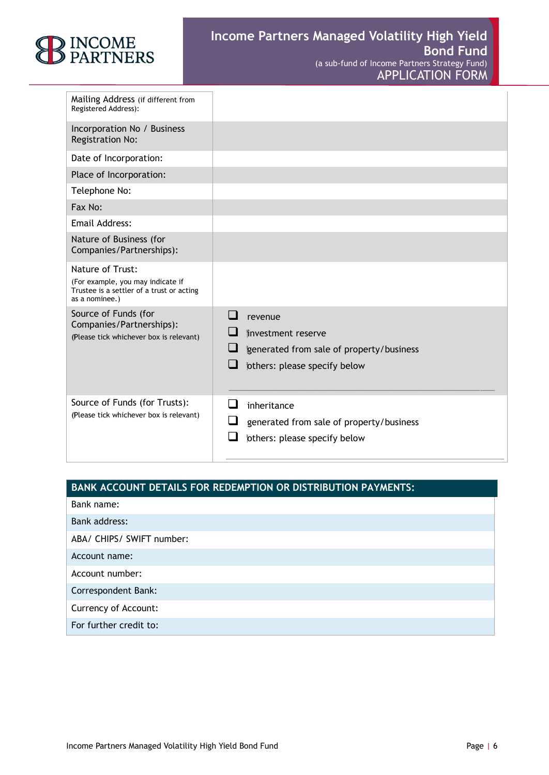

| Mailing Address (if different from<br>Registered Address):                                                           |                                                                                                                  |
|----------------------------------------------------------------------------------------------------------------------|------------------------------------------------------------------------------------------------------------------|
| Incorporation No / Business<br><b>Registration No:</b>                                                               |                                                                                                                  |
| Date of Incorporation:                                                                                               |                                                                                                                  |
| Place of Incorporation:                                                                                              |                                                                                                                  |
| Telephone No:                                                                                                        |                                                                                                                  |
| Fax No:                                                                                                              |                                                                                                                  |
| Email Address:                                                                                                       |                                                                                                                  |
| Nature of Business (for<br>Companies/Partnerships):                                                                  |                                                                                                                  |
| Nature of Trust:<br>(For example, you may indicate if<br>Trustee is a settler of a trust or acting<br>as a nominee.) |                                                                                                                  |
| Source of Funds (for<br>Companies/Partnerships):<br>(Please tick whichever box is relevant)                          | revenue<br>jinvestment reserve<br>⊔<br>generated from sale of property/business<br>fothers: please specify below |
| Source of Funds (for Trusts):<br>(Please tick whichever box is relevant)                                             | inheritance<br>generated from sale of property/business<br>others: please specify below                          |

### **BANK ACCOUNT DETAILS FOR REDEMPTION OR DISTRIBUTION PAYMENTS:**

Bank name:

ABA/ CHIPS/ SWIFT number:

Account name:

Account number:

Correspondent Bank:

Currency of Account:

For further credit to: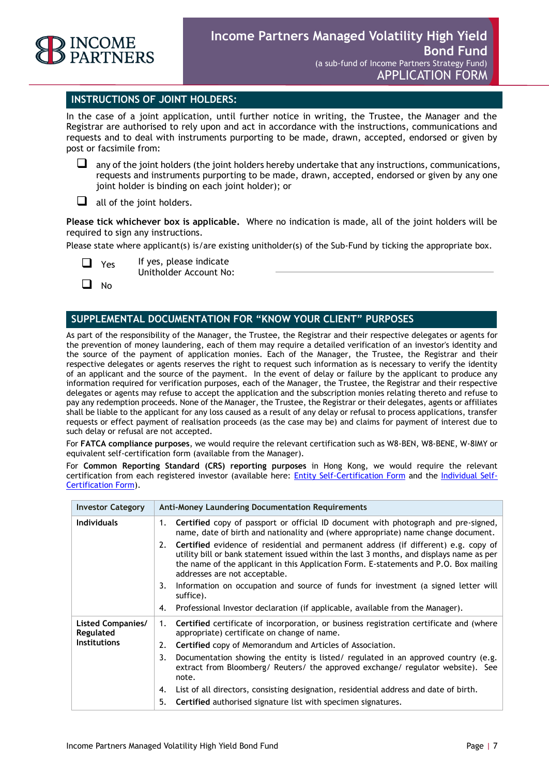

#### **INSTRUCTIONS OF JOINT HOLDERS:**

In the case of a joint application, until further notice in writing, the Trustee, the Manager and the Registrar are authorised to rely upon and act in accordance with the instructions, communications and requests and to deal with instruments purporting to be made, drawn, accepted, endorsed or given by post or facsimile from:

 $\Box$  any of the joint holders (the joint holders hereby undertake that any instructions, communications, requests and instruments purporting to be made, drawn, accepted, endorsed or given by any one joint holder is binding on each joint holder); or

 $\Box$  all of the joint holders.

**Please tick whichever box is applicable.** Where no indication is made, all of the joint holders will be required to sign any instructions.

Please state where applicant(s) is/are existing unitholder(s) of the Sub-Fund by ticking the appropriate box.

- Yes If yes, please indicate
	- Unitholder Account No:

 $\Box$  No

#### **SUPPLEMENTAL DOCUMENTATION FOR "KNOW YOUR CLIENT" PURPOSES**

As part of the responsibility of the Manager, the Trustee, the Registrar and their respective delegates or agents for the prevention of money laundering, each of them may require a detailed verification of an investor's identity and the source of the payment of application monies. Each of the Manager, the Trustee, the Registrar and their respective delegates or agents reserves the right to request such information as is necessary to verify the identity of an applicant and the source of the payment. In the event of delay or failure by the applicant to produce any information required for verification purposes, each of the Manager, the Trustee, the Registrar and their respective delegates or agents may refuse to accept the application and the subscription monies relating thereto and refuse to pay any redemption proceeds. None of the Manager, the Trustee, the Registrar or their delegates, agents or affiliates shall be liable to the applicant for any loss caused as a result of any delay or refusal to process applications, transfer requests or effect payment of realisation proceeds (as the case may be) and claims for payment of interest due to such delay or refusal are not accepted.

For **FATCA compliance purposes**, we would require the relevant certification such as W8-BEN, W8-BENE, W-8IMY or equivalent self-certification form (available from the Manager).

For **Common Reporting Standard (CRS) reporting purposes** in Hong Kong, we would require the relevant certification from each registered investor (available here: [Entity Self-Certification Form](http://www.tia.gov.ky/pdf/Entity_Self_-_Certification_Form.docx) and the [Individual Self-](http://www.tia.gov.ky/pdf/Individual_Self_-_Certification_Form.docx)[Certification Form\)](http://www.tia.gov.ky/pdf/Individual_Self_-_Certification_Form.docx).

| <b>Investor Category</b>                              | <b>Anti-Money Laundering Documentation Requirements</b>                                                                                                                                                                                                                                                                                                                                                                                                                                                                                                                                                          |
|-------------------------------------------------------|------------------------------------------------------------------------------------------------------------------------------------------------------------------------------------------------------------------------------------------------------------------------------------------------------------------------------------------------------------------------------------------------------------------------------------------------------------------------------------------------------------------------------------------------------------------------------------------------------------------|
| <b>Individuals</b>                                    | Certified copy of passport or official ID document with photograph and pre-signed,<br>1.<br>name, date of birth and nationality and (where appropriate) name change document.<br><b>Certified</b> evidence of residential and permanent address (if different) e.g. copy of<br>2.<br>utility bill or bank statement issued within the last 3 months, and displays name as per<br>the name of the applicant in this Application Form. E-statements and P.O. Box mailing<br>addresses are not acceptable.<br>Information on occupation and source of funds for investment (a signed letter will<br>3.<br>suffice). |
|                                                       | Professional Investor declaration (if applicable, available from the Manager).<br>4.                                                                                                                                                                                                                                                                                                                                                                                                                                                                                                                             |
| Listed Companies/<br>Regulated<br><b>Institutions</b> | Certified certificate of incorporation, or business registration certificate and (where<br>1.<br>appropriate) certificate on change of name.                                                                                                                                                                                                                                                                                                                                                                                                                                                                     |
|                                                       | Certified copy of Memorandum and Articles of Association.<br>2.                                                                                                                                                                                                                                                                                                                                                                                                                                                                                                                                                  |
|                                                       | Documentation showing the entity is listed/ regulated in an approved country (e.g.<br>3.<br>extract from Bloomberg/ Reuters/ the approved exchange/ regulator website). See<br>note.                                                                                                                                                                                                                                                                                                                                                                                                                             |
|                                                       | List of all directors, consisting designation, residential address and date of birth.<br>4.                                                                                                                                                                                                                                                                                                                                                                                                                                                                                                                      |
|                                                       | 5.<br>Certified authorised signature list with specimen signatures.                                                                                                                                                                                                                                                                                                                                                                                                                                                                                                                                              |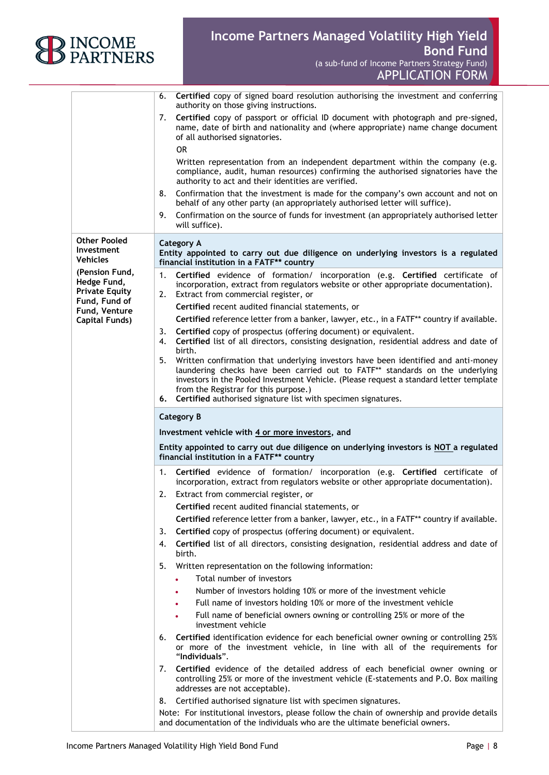

## **Income Partners Managed Volatility High Yield Bond Fund** (a sub-fund of Income Partners Strategy Fund)

APPLICATION FORM

|                                                        | Certified copy of signed board resolution authorising the investment and conferring<br>6.<br>authority on those giving instructions.<br>Certified copy of passport or official ID document with photograph and pre-signed,<br>7.                                                                                                                                                 |
|--------------------------------------------------------|----------------------------------------------------------------------------------------------------------------------------------------------------------------------------------------------------------------------------------------------------------------------------------------------------------------------------------------------------------------------------------|
|                                                        | name, date of birth and nationality and (where appropriate) name change document<br>of all authorised signatories.<br><b>OR</b>                                                                                                                                                                                                                                                  |
|                                                        | Written representation from an independent department within the company (e.g.<br>compliance, audit, human resources) confirming the authorised signatories have the<br>authority to act and their identities are verified.                                                                                                                                                      |
|                                                        | Confirmation that the investment is made for the company's own account and not on<br>8.<br>behalf of any other party (an appropriately authorised letter will suffice).                                                                                                                                                                                                          |
|                                                        | Confirmation on the source of funds for investment (an appropriately authorised letter<br>9.<br>will suffice).                                                                                                                                                                                                                                                                   |
| <b>Other Pooled</b><br>Investment<br><b>Vehicles</b>   | <b>Category A</b><br>Entity appointed to carry out due diligence on underlying investors is a regulated<br>financial institution in a FATF** country                                                                                                                                                                                                                             |
| (Pension Fund,<br>Hedge Fund,<br><b>Private Equity</b> | Certified evidence of formation/ incorporation (e.g. Certified certificate of<br>1.<br>incorporation, extract from regulators website or other appropriate documentation).<br>Extract from commercial register, or<br>2.                                                                                                                                                         |
| Fund, Fund of                                          | Certified recent audited financial statements, or                                                                                                                                                                                                                                                                                                                                |
| Fund, Venture<br><b>Capital Funds)</b>                 | Certified reference letter from a banker, lawyer, etc., in a FATF** country if available.                                                                                                                                                                                                                                                                                        |
|                                                        | Certified copy of prospectus (offering document) or equivalent.<br>3.<br>Certified list of all directors, consisting designation, residential address and date of<br>4.<br>birth.                                                                                                                                                                                                |
|                                                        | 5.<br>Written confirmation that underlying investors have been identified and anti-money<br>laundering checks have been carried out to FATF** standards on the underlying<br>investors in the Pooled Investment Vehicle. (Please request a standard letter template<br>from the Registrar for this purpose.)<br>6. Certified authorised signature list with specimen signatures. |
|                                                        |                                                                                                                                                                                                                                                                                                                                                                                  |
|                                                        | <b>Category B</b>                                                                                                                                                                                                                                                                                                                                                                |
|                                                        | Investment vehicle with 4 or more investors, and                                                                                                                                                                                                                                                                                                                                 |
|                                                        | Entity appointed to carry out due diligence on underlying investors is NOT a regulated<br>financial institution in a FATF** country                                                                                                                                                                                                                                              |
|                                                        | 1.<br>Certified evidence of formation/ incorporation (e.g. Certified certificate of<br>incorporation, extract from regulators website or other appropriate documentation).                                                                                                                                                                                                       |
|                                                        | 2.<br>Extract from commercial register, or                                                                                                                                                                                                                                                                                                                                       |
|                                                        | Certified recent audited financial statements, or                                                                                                                                                                                                                                                                                                                                |
|                                                        | Certified reference letter from a banker, lawyer, etc., in a FATF** country if available.                                                                                                                                                                                                                                                                                        |
|                                                        | Certified copy of prospectus (offering document) or equivalent.<br>3.                                                                                                                                                                                                                                                                                                            |
|                                                        | Certified list of all directors, consisting designation, residential address and date of<br>4.<br>birth.                                                                                                                                                                                                                                                                         |
|                                                        | Written representation on the following information:<br>5.                                                                                                                                                                                                                                                                                                                       |
|                                                        | Total number of investors                                                                                                                                                                                                                                                                                                                                                        |
|                                                        | Number of investors holding 10% or more of the investment vehicle                                                                                                                                                                                                                                                                                                                |
|                                                        | Full name of investors holding 10% or more of the investment vehicle                                                                                                                                                                                                                                                                                                             |
|                                                        | Full name of beneficial owners owning or controlling 25% or more of the<br>investment vehicle                                                                                                                                                                                                                                                                                    |
|                                                        | Certified identification evidence for each beneficial owner owning or controlling 25%<br>6.<br>or more of the investment vehicle, in line with all of the requirements for<br>"Individuals".                                                                                                                                                                                     |
|                                                        | Certified evidence of the detailed address of each beneficial owner owning or<br>7.<br>controlling 25% or more of the investment vehicle (E-statements and P.O. Box mailing<br>addresses are not acceptable).                                                                                                                                                                    |
|                                                        | Certified authorised signature list with specimen signatures.<br>8.                                                                                                                                                                                                                                                                                                              |
|                                                        | Note: For institutional investors, please follow the chain of ownership and provide details<br>and documentation of the individuals who are the ultimate beneficial owners.                                                                                                                                                                                                      |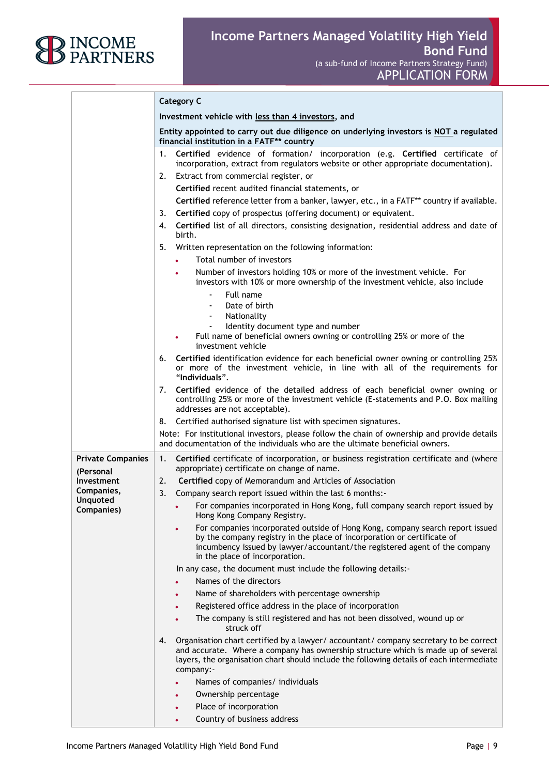

|                                                                  | <b>Category C</b>                                                                                                                                                                                                                                                                         |
|------------------------------------------------------------------|-------------------------------------------------------------------------------------------------------------------------------------------------------------------------------------------------------------------------------------------------------------------------------------------|
|                                                                  | Investment vehicle with less than 4 investors, and                                                                                                                                                                                                                                        |
|                                                                  | Entity appointed to carry out due diligence on underlying investors is NOT a regulated<br>financial institution in a FATF** country                                                                                                                                                       |
|                                                                  | Certified evidence of formation/ incorporation (e.g. Certified certificate of<br>1.<br>incorporation, extract from regulators website or other appropriate documentation).                                                                                                                |
|                                                                  | Extract from commercial register, or<br>2.                                                                                                                                                                                                                                                |
|                                                                  | Certified recent audited financial statements, or                                                                                                                                                                                                                                         |
|                                                                  | Certified reference letter from a banker, lawyer, etc., in a FATF** country if available.                                                                                                                                                                                                 |
|                                                                  | Certified copy of prospectus (offering document) or equivalent.<br>3.                                                                                                                                                                                                                     |
|                                                                  | Certified list of all directors, consisting designation, residential address and date of<br>4.<br>birth.                                                                                                                                                                                  |
|                                                                  | Written representation on the following information:<br>5.                                                                                                                                                                                                                                |
|                                                                  | Total number of investors<br>$\bullet$                                                                                                                                                                                                                                                    |
|                                                                  | Number of investors holding 10% or more of the investment vehicle. For<br>investors with 10% or more ownership of the investment vehicle, also include                                                                                                                                    |
|                                                                  | Full name<br>Date of birth<br>Nationality<br>$\overline{\phantom{a}}$                                                                                                                                                                                                                     |
|                                                                  | Identity document type and number<br>$\blacksquare$<br>Full name of beneficial owners owning or controlling 25% or more of the<br>$\bullet$<br>investment vehicle                                                                                                                         |
|                                                                  | Certified identification evidence for each beneficial owner owning or controlling 25%<br>6.<br>or more of the investment vehicle, in line with all of the requirements for<br>"Individuals".                                                                                              |
|                                                                  | Certified evidence of the detailed address of each beneficial owner owning or<br>7.<br>controlling 25% or more of the investment vehicle (E-statements and P.O. Box mailing<br>addresses are not acceptable).                                                                             |
|                                                                  | Certified authorised signature list with specimen signatures.<br>୪.                                                                                                                                                                                                                       |
|                                                                  | Note: For institutional investors, please follow the chain of ownership and provide details<br>and documentation of the individuals who are the ultimate beneficial owners.                                                                                                               |
| <b>Private Companies</b><br>(Personal                            | 1.<br><b>Certified</b> certificate of incorporation, or business registration certificate and (where<br>appropriate) certificate on change of name.                                                                                                                                       |
| Investment<br>Companies,<br><b>Unquoted</b><br><b>Companies)</b> | Certified copy of Memorandum and Articles of Association<br>2.                                                                                                                                                                                                                            |
|                                                                  | 3.<br>Company search report issued within the last 6 months:-                                                                                                                                                                                                                             |
|                                                                  | For companies incorporated in Hong Kong, full company search report issued by<br>Hong Kong Company Registry.                                                                                                                                                                              |
|                                                                  | For companies incorporated outside of Hong Kong, company search report issued<br>by the company registry in the place of incorporation or certificate of<br>incumbency issued by lawyer/accountant/the registered agent of the company<br>in the place of incorporation.                  |
|                                                                  | In any case, the document must include the following details:-                                                                                                                                                                                                                            |
|                                                                  | Names of the directors                                                                                                                                                                                                                                                                    |
|                                                                  | Name of shareholders with percentage ownership                                                                                                                                                                                                                                            |
|                                                                  | Registered office address in the place of incorporation                                                                                                                                                                                                                                   |
|                                                                  | The company is still registered and has not been dissolved, wound up or<br>struck off                                                                                                                                                                                                     |
|                                                                  | Organisation chart certified by a lawyer/ accountant/ company secretary to be correct<br>4.<br>and accurate. Where a company has ownership structure which is made up of several<br>layers, the organisation chart should include the following details of each intermediate<br>company:- |
|                                                                  | Names of companies/ individuals                                                                                                                                                                                                                                                           |
|                                                                  | Ownership percentage                                                                                                                                                                                                                                                                      |
|                                                                  | Place of incorporation                                                                                                                                                                                                                                                                    |

• Country of business address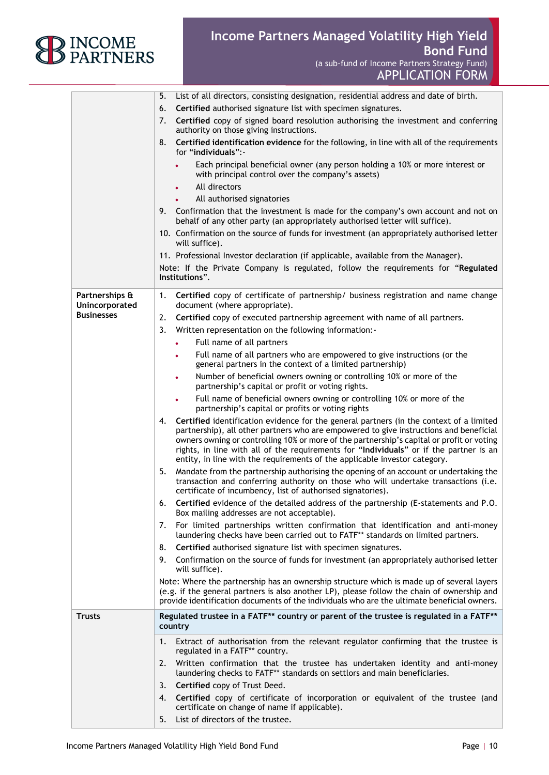

APPLICATION FORM

|                                  | 5.<br>List of all directors, consisting designation, residential address and date of birth.                                                                                                                                                                                                                                                                                                                                                                  |
|----------------------------------|--------------------------------------------------------------------------------------------------------------------------------------------------------------------------------------------------------------------------------------------------------------------------------------------------------------------------------------------------------------------------------------------------------------------------------------------------------------|
|                                  | Certified authorised signature list with specimen signatures.<br>6.                                                                                                                                                                                                                                                                                                                                                                                          |
|                                  | Certified copy of signed board resolution authorising the investment and conferring<br>7.<br>authority on those giving instructions.                                                                                                                                                                                                                                                                                                                         |
|                                  | Certified identification evidence for the following, in line with all of the requirements<br>8.<br>for "individuals":-                                                                                                                                                                                                                                                                                                                                       |
|                                  | Each principal beneficial owner (any person holding a 10% or more interest or<br>with principal control over the company's assets)                                                                                                                                                                                                                                                                                                                           |
|                                  | All directors                                                                                                                                                                                                                                                                                                                                                                                                                                                |
|                                  | All authorised signatories                                                                                                                                                                                                                                                                                                                                                                                                                                   |
|                                  | 9. Confirmation that the investment is made for the company's own account and not on<br>behalf of any other party (an appropriately authorised letter will suffice).                                                                                                                                                                                                                                                                                         |
|                                  | 10. Confirmation on the source of funds for investment (an appropriately authorised letter<br>will suffice).                                                                                                                                                                                                                                                                                                                                                 |
|                                  | 11. Professional Investor declaration (if applicable, available from the Manager).                                                                                                                                                                                                                                                                                                                                                                           |
|                                  | Note: If the Private Company is regulated, follow the requirements for "Regulated<br>Institutions".                                                                                                                                                                                                                                                                                                                                                          |
| Partnerships &<br>Unincorporated | Certified copy of certificate of partnership/ business registration and name change<br>1.<br>document (where appropriate).                                                                                                                                                                                                                                                                                                                                   |
| <b>Businesses</b>                | Certified copy of executed partnership agreement with name of all partners.<br>2.                                                                                                                                                                                                                                                                                                                                                                            |
|                                  | 3.<br>Written representation on the following information:-                                                                                                                                                                                                                                                                                                                                                                                                  |
|                                  | Full name of all partners                                                                                                                                                                                                                                                                                                                                                                                                                                    |
|                                  | Full name of all partners who are empowered to give instructions (or the<br>٠<br>general partners in the context of a limited partnership)                                                                                                                                                                                                                                                                                                                   |
|                                  | Number of beneficial owners owning or controlling 10% or more of the<br>$\bullet$<br>partnership's capital or profit or voting rights.                                                                                                                                                                                                                                                                                                                       |
|                                  | Full name of beneficial owners owning or controlling 10% or more of the<br>$\bullet$<br>partnership's capital or profits or voting rights                                                                                                                                                                                                                                                                                                                    |
|                                  | Certified identification evidence for the general partners (in the context of a limited<br>4.<br>partnership), all other partners who are empowered to give instructions and beneficial<br>owners owning or controlling 10% or more of the partnership's capital or profit or voting<br>rights, in line with all of the requirements for "Individuals" or if the partner is an<br>entity, in line with the requirements of the applicable investor category. |
|                                  | Mandate from the partnership authorising the opening of an account or undertaking the<br>5.<br>transaction and conferring authority on those who will undertake transactions (i.e.<br>certificate of incumbency, list of authorised signatories).                                                                                                                                                                                                            |
|                                  | Certified evidence of the detailed address of the partnership (E-statements and P.O.<br>6.<br>Box mailing addresses are not acceptable).                                                                                                                                                                                                                                                                                                                     |
|                                  | For limited partnerships written confirmation that identification and anti-money<br>7.<br>laundering checks have been carried out to FATF** standards on limited partners.                                                                                                                                                                                                                                                                                   |
|                                  | Certified authorised signature list with specimen signatures.<br>8.                                                                                                                                                                                                                                                                                                                                                                                          |
|                                  | 9. Confirmation on the source of funds for investment (an appropriately authorised letter<br>will suffice).                                                                                                                                                                                                                                                                                                                                                  |
|                                  | Note: Where the partnership has an ownership structure which is made up of several layers<br>(e.g. if the general partners is also another LP), please follow the chain of ownership and<br>provide identification documents of the individuals who are the ultimate beneficial owners.                                                                                                                                                                      |
| <b>Trusts</b>                    | Regulated trustee in a FATF** country or parent of the trustee is regulated in a FATF**<br>country                                                                                                                                                                                                                                                                                                                                                           |
|                                  | Extract of authorisation from the relevant regulator confirming that the trustee is<br>1.<br>regulated in a FATF** country.                                                                                                                                                                                                                                                                                                                                  |
|                                  | Written confirmation that the trustee has undertaken identity and anti-money<br>2.<br>laundering checks to FATF** standards on settlors and main beneficiaries.                                                                                                                                                                                                                                                                                              |
|                                  | Certified copy of Trust Deed.<br>3.                                                                                                                                                                                                                                                                                                                                                                                                                          |
|                                  | Certified copy of certificate of incorporation or equivalent of the trustee (and<br>4.<br>certificate on change of name if applicable).                                                                                                                                                                                                                                                                                                                      |
|                                  | List of directors of the trustee.<br>5.                                                                                                                                                                                                                                                                                                                                                                                                                      |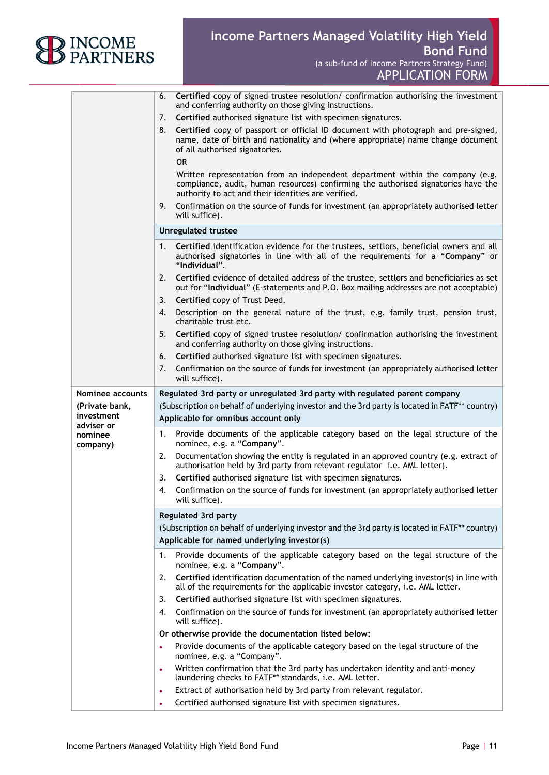

6. **Certified** copy of signed trustee resolution/ confirmation authorising the investment

APPLICATION FORM

|                          | and conferring authority on those giving instructions.                                                                                                                                                                      |
|--------------------------|-----------------------------------------------------------------------------------------------------------------------------------------------------------------------------------------------------------------------------|
|                          | Certified authorised signature list with specimen signatures.<br>7.                                                                                                                                                         |
|                          | Certified copy of passport or official ID document with photograph and pre-signed,<br>8.<br>name, date of birth and nationality and (where appropriate) name change document<br>of all authorised signatories.<br><b>OR</b> |
|                          | Written representation from an independent department within the company (e.g.<br>compliance, audit, human resources) confirming the authorised signatories have the<br>authority to act and their identities are verified. |
|                          | Confirmation on the source of funds for investment (an appropriately authorised letter<br>9.<br>will suffice).                                                                                                              |
|                          | <b>Unregulated trustee</b>                                                                                                                                                                                                  |
|                          | Certified identification evidence for the trustees, settlors, beneficial owners and all<br>1.<br>authorised signatories in line with all of the requirements for a "Company" or<br>"Individual".                            |
|                          | Certified evidence of detailed address of the trustee, settlors and beneficiaries as set<br>2.<br>out for "Individual" (E-statements and P.O. Box mailing addresses are not acceptable)                                     |
|                          | Certified copy of Trust Deed.<br>3.                                                                                                                                                                                         |
|                          | Description on the general nature of the trust, e.g. family trust, pension trust,<br>4.<br>charitable trust etc.                                                                                                            |
|                          | Certified copy of signed trustee resolution/ confirmation authorising the investment<br>5.<br>and conferring authority on those giving instructions.                                                                        |
|                          | Certified authorised signature list with specimen signatures.<br>6.                                                                                                                                                         |
|                          | 7.<br>Confirmation on the source of funds for investment (an appropriately authorised letter<br>will suffice).                                                                                                              |
| Nominee accounts         | Regulated 3rd party or unregulated 3rd party with regulated parent company                                                                                                                                                  |
| (Private bank,           | (Subscription on behalf of underlying investor and the 3rd party is located in FATF** country)                                                                                                                              |
| investment<br>adviser or | Applicable for omnibus account only                                                                                                                                                                                         |
| nominee<br>company)      | 1.<br>Provide documents of the applicable category based on the legal structure of the<br>nominee, e.g. a "Company".                                                                                                        |
|                          | Documentation showing the entity is regulated in an approved country (e.g. extract of<br>2.<br>authorisation held by 3rd party from relevant regulator- i.e. AML letter).                                                   |
|                          | Certified authorised signature list with specimen signatures.<br>3.                                                                                                                                                         |
|                          | Confirmation on the source of funds for investment (an appropriately authorised letter<br>4.<br>will suffice).                                                                                                              |
|                          | <b>Regulated 3rd party</b>                                                                                                                                                                                                  |
|                          | (Subscription on behalf of underlying investor and the 3rd party is located in FATF** country)                                                                                                                              |
|                          | Applicable for named underlying investor(s)                                                                                                                                                                                 |
|                          | Provide documents of the applicable category based on the legal structure of the<br>1.<br>nominee, e.g. a "Company".                                                                                                        |
|                          | Certified identification documentation of the named underlying investor(s) in line with<br>2.<br>all of the requirements for the applicable investor category, i.e. AML letter.                                             |
|                          | Certified authorised signature list with specimen signatures.<br>3.                                                                                                                                                         |
|                          | Confirmation on the source of funds for investment (an appropriately authorised letter<br>4.                                                                                                                                |
|                          | will suffice).                                                                                                                                                                                                              |
|                          | Or otherwise provide the documentation listed below:                                                                                                                                                                        |
|                          | Provide documents of the applicable category based on the legal structure of the<br>$\bullet$<br>nominee, e.g. a "Company".                                                                                                 |
|                          | Written confirmation that the 3rd party has undertaken identity and anti-money<br>$\bullet$<br>laundering checks to FATF** standards, i.e. AML letter.                                                                      |
|                          | Extract of authorisation held by 3rd party from relevant regulator.<br>$\bullet$                                                                                                                                            |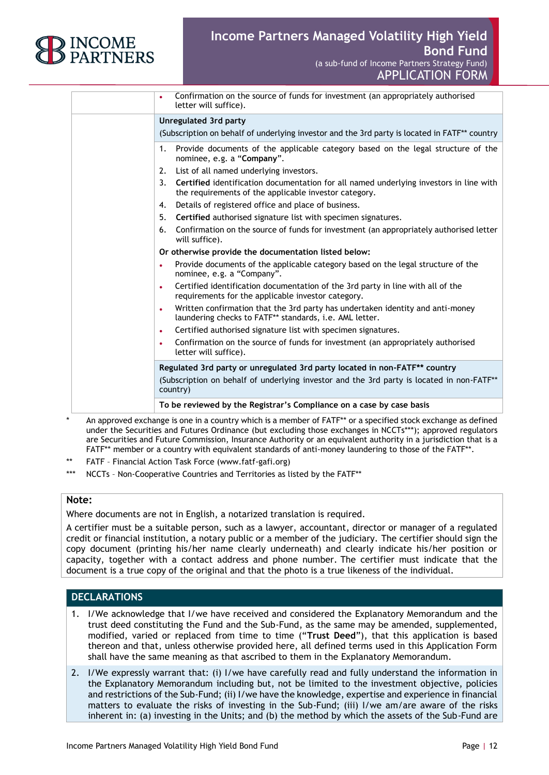

| Confirmation on the source of funds for investment (an appropriately authorised<br>$\bullet$<br>letter will suffice).                                  |
|--------------------------------------------------------------------------------------------------------------------------------------------------------|
| <b>Unregulated 3rd party</b>                                                                                                                           |
| (Subscription on behalf of underlying investor and the 3rd party is located in FATF** country                                                          |
| 1. Provide documents of the applicable category based on the legal structure of the<br>nominee, e.g. a "Company".                                      |
| 2. List of all named underlying investors.                                                                                                             |
| Certified identification documentation for all named underlying investors in line with<br>3.<br>the requirements of the applicable investor category.  |
| Details of registered office and place of business.<br>4.                                                                                              |
| Certified authorised signature list with specimen signatures.<br>5.                                                                                    |
| Confirmation on the source of funds for investment (an appropriately authorised letter<br>6.<br>will suffice).                                         |
| Or otherwise provide the documentation listed below:                                                                                                   |
| Provide documents of the applicable category based on the legal structure of the<br>$\bullet$<br>nominee, e.g. a "Company".                            |
| Certified identification documentation of the 3rd party in line with all of the<br>$\bullet$<br>requirements for the applicable investor category.     |
| Written confirmation that the 3rd party has undertaken identity and anti-money<br>$\bullet$<br>laundering checks to FATF** standards, i.e. AML letter. |
| Certified authorised signature list with specimen signatures.<br>$\bullet$                                                                             |
| Confirmation on the source of funds for investment (an appropriately authorised<br>$\bullet$<br>letter will suffice).                                  |
| Regulated 3rd party or unregulated 3rd party located in non-FATF** country                                                                             |
| (Subscription on behalf of underlying investor and the 3rd party is located in non-FATF**<br>country)                                                  |
| To be reviewed by the Registrar's Compliance on a case by case basis                                                                                   |

An approved exchange is one in a country which is a member of FATF\*\* or a specified stock exchange as defined under the Securities and Futures Ordinance (but excluding those exchanges in NCCTs\*\*\*); approved regulators are Securities and Future Commission, Insurance Authority or an equivalent authority in a jurisdiction that is a FATF\*\* member or a country with equivalent standards of anti-money laundering to those of the FATF\*\*.

- FATF Financial Action Task Force (www.fatf-gafi.org)
- \*\*\* NCCTs Non-Cooperative Countries and Territories as listed by the FATF\*\*

#### **Note:**

Where documents are not in English, a notarized translation is required.

A certifier must be a suitable person, such as a lawyer, accountant, director or manager of a regulated credit or financial institution, a notary public or a member of the judiciary. The certifier should sign the copy document (printing his/her name clearly underneath) and clearly indicate his/her position or capacity, together with a contact address and phone number. The certifier must indicate that the document is a true copy of the original and that the photo is a true likeness of the individual.

#### **DECLARATIONS**

- 1. I/We acknowledge that I/we have received and considered the Explanatory Memorandum and the trust deed constituting the Fund and the Sub-Fund, as the same may be amended, supplemented, modified, varied or replaced from time to time ("**Trust Deed**"), that this application is based thereon and that, unless otherwise provided here, all defined terms used in this Application Form shall have the same meaning as that ascribed to them in the Explanatory Memorandum.
- 2. I/We expressly warrant that: (i) I/we have carefully read and fully understand the information in the Explanatory Memorandum including but, not be limited to the investment objective, policies and restrictions of the Sub-Fund; (ii) I/we have the knowledge, expertise and experience in financial matters to evaluate the risks of investing in the Sub-Fund; (iii) I/we am/are aware of the risks inherent in: (a) investing in the Units; and (b) the method by which the assets of the Sub-Fund are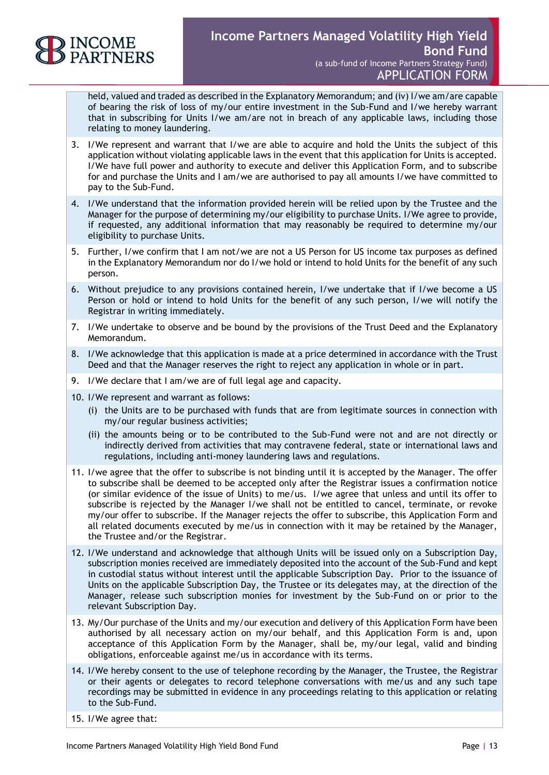

held, valued and traded as described in the Explanatory Memorandum; and (iv) I/we am/are capable of bearing the risk of loss of my/our entire investment in the Sub-Fund and I/we hereby warrant that in subscribing for Units I/we am/are not in breach of any applicable laws, including those relating to money laundering.

- 3. I/We represent and warrant that I/we are able to acquire and hold the Units the subject of this application without violating applicable laws in the event that this application for Units is accepted. I/We have full power and authority to execute and deliver this Application Form, and to subscribe for and purchase the Units and I am/we are authorised to pay all amounts I/we have committed to pay to the Sub-Fund.
- 4. I/We understand that the information provided herein will be relied upon by the Trustee and the Manager for the purpose of determining my/our eligibility to purchase Units. I/We agree to provide, if requested, any additional information that may reasonably be required to determine my/our eligibility to purchase Units.
- 5. Further, I/we confirm that I am not/we are not a US Person for US income tax purposes as defined in the Explanatory Memorandum nor do I/we hold or intend to hold Units for the benefit of any such person.
- 6. Without prejudice to any provisions contained herein, I/we undertake that if I/we become a US Person or hold or intend to hold Units for the benefit of any such person, I/we will notify the Registrar in writing immediately.
- 7. I/We undertake to observe and be bound by the provisions of the Trust Deed and the Explanatory Memorandum.
- 8. I/We acknowledge that this application is made at a price determined in accordance with the Trust Deed and that the Manager reserves the right to reject any application in whole or in part.
- 9. I/We declare that I am/we are of full legal age and capacity.
- 10. I/We represent and warrant as follows:
	- (i) the Units are to be purchased with funds that are from legitimate sources in connection with my/our regular business activities;
	- (ii) the amounts being or to be contributed to the Sub-Fund were not and are not directly or indirectly derived from activities that may contravene federal, state or international laws and regulations, including anti-money laundering laws and regulations.
- 11. I/we agree that the offer to subscribe is not binding until it is accepted by the Manager. The offer to subscribe shall be deemed to be accepted only after the Registrar issues a confirmation notice (or similar evidence of the issue of Units) to me/us. I/we agree that unless and until its offer to subscribe is rejected by the Manager I/we shall not be entitled to cancel, terminate, or revoke my/our offer to subscribe. If the Manager rejects the offer to subscribe, this Application Form and all related documents executed by me/us in connection with it may be retained by the Manager, the Trustee and/or the Registrar.
- 12. I/We understand and acknowledge that although Units will be issued only on a Subscription Day, subscription monies received are immediately deposited into the account of the Sub-Fund and kept in custodial status without interest until the applicable Subscription Day. Prior to the issuance of Units on the applicable Subscription Day, the Trustee or its delegates may, at the direction of the Manager, release such subscription monies for investment by the Sub-Fund on or prior to the relevant Subscription Day.
- 13. My/Our purchase of the Units and my/our execution and delivery of this Application Form have been authorised by all necessary action on my/our behalf, and this Application Form is and, upon acceptance of this Application Form by the Manager, shall be, my/our legal, valid and binding obligations, enforceable against me/us in accordance with its terms.
- 14. I/We hereby consent to the use of telephone recording by the Manager, the Trustee, the Registrar or their agents or delegates to record telephone conversations with me/us and any such tape recordings may be submitted in evidence in any proceedings relating to this application or relating to the Sub-Fund.
- 15. I/We agree that: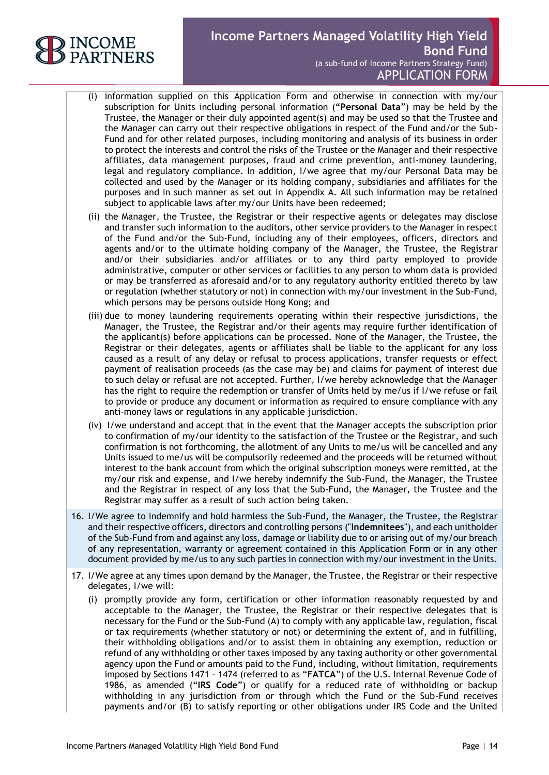

- (i) information supplied on this Application Form and otherwise in connection with my/our subscription for Units including personal information ("**Personal Data**") may be held by the Trustee, the Manager or their duly appointed agent(s) and may be used so that the Trustee and the Manager can carry out their respective obligations in respect of the Fund and/or the Sub-Fund and for other related purposes, including monitoring and analysis of its business in order to protect the interests and control the risks of the Trustee or the Manager and their respective affiliates, data management purposes, fraud and crime prevention, anti-money laundering, legal and regulatory compliance. In addition, I/we agree that my/our Personal Data may be collected and used by the Manager or its holding company, subsidiaries and affiliates for the purposes and in such manner as set out in Appendix A. All such information may be retained subject to applicable laws after my/our Units have been redeemed;
- (ii) the Manager, the Trustee, the Registrar or their respective agents or delegates may disclose and transfer such information to the auditors, other service providers to the Manager in respect of the Fund and/or the Sub-Fund, including any of their employees, officers, directors and agents and/or to the ultimate holding company of the Manager, the Trustee, the Registrar and/or their subsidiaries and/or affiliates or to any third party employed to provide administrative, computer or other services or facilities to any person to whom data is provided or may be transferred as aforesaid and/or to any regulatory authority entitled thereto by law or regulation (whether statutory or not) in connection with my/our investment in the Sub-Fund, which persons may be persons outside Hong Kong; and
- (iii) due to money laundering requirements operating within their respective jurisdictions, the Manager, the Trustee, the Registrar and/or their agents may require further identification of the applicant(s) before applications can be processed. None of the Manager, the Trustee, the Registrar or their delegates, agents or affiliates shall be liable to the applicant for any loss caused as a result of any delay or refusal to process applications, transfer requests or effect payment of realisation proceeds (as the case may be) and claims for payment of interest due to such delay or refusal are not accepted. Further, I/we hereby acknowledge that the Manager has the right to require the redemption or transfer of Units held by me/us if I/we refuse or fail to provide or produce any document or information as required to ensure compliance with any anti-money laws or regulations in any applicable jurisdiction.
- (iv) I/we understand and accept that in the event that the Manager accepts the subscription prior to confirmation of my/our identity to the satisfaction of the Trustee or the Registrar, and such confirmation is not forthcoming, the allotment of any Units to me/us will be cancelled and any Units issued to me/us will be compulsorily redeemed and the proceeds will be returned without interest to the bank account from which the original subscription moneys were remitted, at the my/our risk and expense, and I/we hereby indemnify the Sub-Fund, the Manager, the Trustee and the Registrar in respect of any loss that the Sub-Fund, the Manager, the Trustee and the Registrar may suffer as a result of such action being taken.
- 16. I/We agree to indemnify and hold harmless the Sub-Fund, the Manager, the Trustee, the Registrar and their respective officers, directors and controlling persons ("**Indemnitees**"), and each unitholder of the Sub-Fund from and against any loss, damage or liability due to or arising out of my/our breach of any representation, warranty or agreement contained in this Application Form or in any other document provided by me/us to any such parties in connection with my/our investment in the Units.
- 17. I/We agree at any times upon demand by the Manager, the Trustee, the Registrar or their respective delegates, I/we will:
	- (i) promptly provide any form, certification or other information reasonably requested by and acceptable to the Manager, the Trustee, the Registrar or their respective delegates that is necessary for the Fund or the Sub-Fund (A) to comply with any applicable law, regulation, fiscal or tax requirements (whether statutory or not) or determining the extent of, and in fulfilling, their withholding obligations and/or to assist them in obtaining any exemption, reduction or refund of any withholding or other taxes imposed by any taxing authority or other governmental agency upon the Fund or amounts paid to the Fund, including, without limitation, requirements imposed by Sections 1471 – 1474 (referred to as "**FATCA**") of the U.S. Internal Revenue Code of 1986, as amended ("**IRS Code**") or qualify for a reduced rate of withholding or backup withholding in any jurisdiction from or through which the Fund or the Sub-Fund receives payments and/or (B) to satisfy reporting or other obligations under IRS Code and the United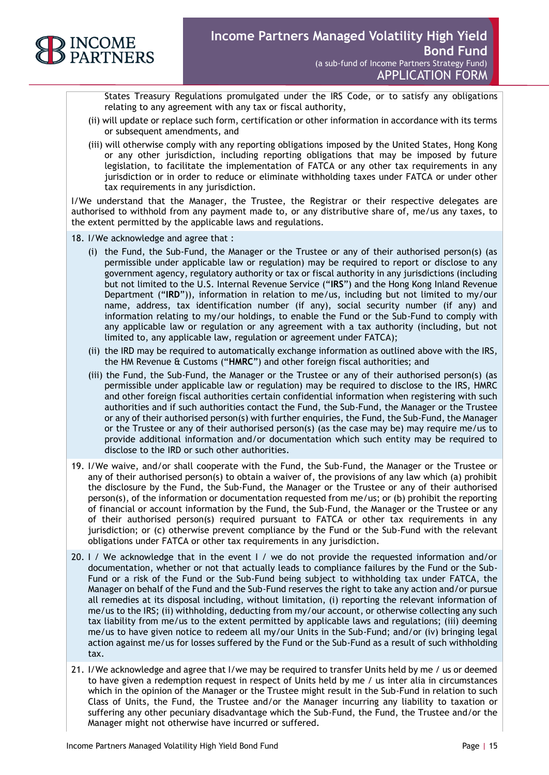

States Treasury Regulations promulgated under the IRS Code, or to satisfy any obligations relating to any agreement with any tax or fiscal authority,

- (ii) will update or replace such form, certification or other information in accordance with its terms or subsequent amendments, and
- (iii) will otherwise comply with any reporting obligations imposed by the United States, Hong Kong or any other jurisdiction, including reporting obligations that may be imposed by future legislation, to facilitate the implementation of FATCA or any other tax requirements in any jurisdiction or in order to reduce or eliminate withholding taxes under FATCA or under other tax requirements in any jurisdiction.

I/We understand that the Manager, the Trustee, the Registrar or their respective delegates are authorised to withhold from any payment made to, or any distributive share of, me/us any taxes, to the extent permitted by the applicable laws and regulations.

- 18. I/We acknowledge and agree that :
	- (i) the Fund, the Sub-Fund, the Manager or the Trustee or any of their authorised person(s) (as permissible under applicable law or regulation) may be required to report or disclose to any government agency, regulatory authority or tax or fiscal authority in any jurisdictions (including but not limited to the U.S. Internal Revenue Service ("**IRS**") and the Hong Kong Inland Revenue Department ("**IRD**")), information in relation to me/us, including but not limited to my/our name, address, tax identification number (if any), social security number (if any) and information relating to my/our holdings, to enable the Fund or the Sub-Fund to comply with any applicable law or regulation or any agreement with a tax authority (including, but not limited to, any applicable law, regulation or agreement under FATCA);
	- (ii) the IRD may be required to automatically exchange information as outlined above with the IRS, the HM Revenue & Customs ("**HMRC**") and other foreign fiscal authorities; and
	- (iii) the Fund, the Sub-Fund, the Manager or the Trustee or any of their authorised person(s) (as permissible under applicable law or regulation) may be required to disclose to the IRS, HMRC and other foreign fiscal authorities certain confidential information when registering with such authorities and if such authorities contact the Fund, the Sub-Fund, the Manager or the Trustee or any of their authorised person(s) with further enquiries, the Fund, the Sub-Fund, the Manager or the Trustee or any of their authorised person(s) (as the case may be) may require me/us to provide additional information and/or documentation which such entity may be required to disclose to the IRD or such other authorities.
- 19. I/We waive, and/or shall cooperate with the Fund, the Sub-Fund, the Manager or the Trustee or any of their authorised person(s) to obtain a waiver of, the provisions of any law which (a) prohibit the disclosure by the Fund, the Sub-Fund, the Manager or the Trustee or any of their authorised person(s), of the information or documentation requested from me/us; or (b) prohibit the reporting of financial or account information by the Fund, the Sub-Fund, the Manager or the Trustee or any of their authorised person(s) required pursuant to FATCA or other tax requirements in any jurisdiction; or (c) otherwise prevent compliance by the Fund or the Sub-Fund with the relevant obligations under FATCA or other tax requirements in any jurisdiction.
- 20. I / We acknowledge that in the event I / we do not provide the requested information and/or documentation, whether or not that actually leads to compliance failures by the Fund or the Sub-Fund or a risk of the Fund or the Sub-Fund being subject to withholding tax under FATCA, the Manager on behalf of the Fund and the Sub-Fund reserves the right to take any action and/or pursue all remedies at its disposal including, without limitation, (i) reporting the relevant information of me/us to the IRS; (ii) withholding, deducting from my/our account, or otherwise collecting any such tax liability from me/us to the extent permitted by applicable laws and regulations; (iii) deeming me/us to have given notice to redeem all my/our Units in the Sub-Fund; and/or (iv) bringing legal action against me/us for losses suffered by the Fund or the Sub-Fund as a result of such withholding tax.
- 21. I/We acknowledge and agree that I/we may be required to transfer Units held by me / us or deemed to have given a redemption request in respect of Units held by me / us inter alia in circumstances which in the opinion of the Manager or the Trustee might result in the Sub-Fund in relation to such Class of Units, the Fund, the Trustee and/or the Manager incurring any liability to taxation or suffering any other pecuniary disadvantage which the Sub-Fund, the Fund, the Trustee and/or the Manager might not otherwise have incurred or suffered.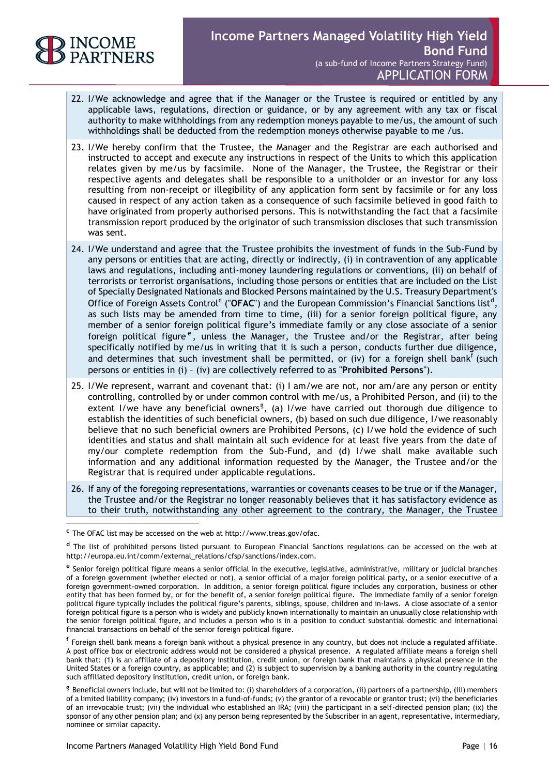

-

- 22. I/We acknowledge and agree that if the Manager or the Trustee is required or entitled by any applicable laws, regulations, direction or guidance, or by any agreement with any tax or fiscal authority to make withholdings from any redemption moneys payable to me/us, the amount of such withholdings shall be deducted from the redemption moneys otherwise payable to me /us.
- 23. I/We hereby confirm that the Trustee, the Manager and the Registrar are each authorised and instructed to accept and execute any instructions in respect of the Units to which this application relates given by me/us by facsimile. None of the Manager, the Trustee, the Registrar or their respective agents and delegates shall be responsible to a unitholder or an investor for any loss resulting from non-receipt or illegibility of any application form sent by facsimile or for any loss caused in respect of any action taken as a consequence of such facsimile believed in good faith to have originated from properly authorised persons. This is notwithstanding the fact that a facsimile transmission report produced by the originator of such transmission discloses that such transmission was sent.
- 24. I/We understand and agree that the Trustee prohibits the investment of funds in the Sub-Fund by any persons or entities that are acting, directly or indirectly, (i) in contravention of any applicable laws and regulations, including anti-money laundering regulations or conventions, (ii) on behalf of terrorists or terrorist organisations, including those persons or entities that are included on the List of Specially Designated Nationals and Blocked Persons maintained by the U.S. Treasury Department's Office of Foreign Assets Control<sup>c</sup> ("OFAC") and the European Commission's Financial Sanctions list<sup>d</sup>, as such lists may be amended from time to time, (iii) for a senior foreign political figure, any member of a senior foreign political figure's immediate family or any close associate of a senior foreign political figure<sup>e</sup>, unless the Manager, the Trustee and/or the Registrar, after being specifically notified by me/us in writing that it is such a person, conducts further due diligence, and determines that such investment shall be permitted, or (iv) for a foreign shell bank<sup>f</sup> (such persons or entities in (i) – (iv) are collectively referred to as "**Prohibited Persons**").
- 25. I/We represent, warrant and covenant that: (i) I am/we are not, nor am/are any person or entity controlling, controlled by or under common control with me/us, a Prohibited Person, and (ii) to the extent I/we have any beneficial owners<sup>g</sup>, (a) I/we have carried out thorough due diligence to establish the identities of such beneficial owners, (b) based on such due diligence, I/we reasonably believe that no such beneficial owners are Prohibited Persons, (c) I/we hold the evidence of such identities and status and shall maintain all such evidence for at least five years from the date of my/our complete redemption from the Sub-Fund, and (d) I/we shall make available such information and any additional information requested by the Manager, the Trustee and/or the Registrar that is required under applicable regulations.
- 26. If any of the foregoing representations, warranties or covenants ceases to be true or if the Manager, the Trustee and/or the Registrar no longer reasonably believes that it has satisfactory evidence as to their truth, notwithstanding any other agreement to the contrary, the Manager, the Trustee

**<sup>c</sup>** The OFAC list may be accessed on the web at http://www.treas.gov/ofac.

**<sup>d</sup>** The list of prohibited persons listed pursuant to European Financial Sanctions regulations can be accessed on the web at http://europa.eu.int/comm/external\_relations/cfsp/sanctions/index.com.

**e** Senior foreign political figure means a senior official in the executive, legislative, administrative, military or judicial branches of a foreign government (whether elected or not), a senior official of a major foreign political party, or a senior executive of a foreign government-owned corporation. In addition, a senior foreign political figure includes any corporation, business or other entity that has been formed by, or for the benefit of, a senior foreign political figure. The immediate family of a senior foreign political figure typically includes the political figure's parents, siblings, spouse, children and in-laws. A close associate of a senior foreign political figure is a person who is widely and publicly known internationally to maintain an unusually close relationship with the senior foreign political figure, and includes a person who is in a position to conduct substantial domestic and international financial transactions on behalf of the senior foreign political figure.

**f** Foreign shell bank means a foreign bank without a physical presence in any country, but does not include a regulated affiliate. A post office box or electronic address would not be considered a physical presence. A regulated affiliate means a foreign shell bank that: (1) is an affiliate of a depository institution, credit union, or foreign bank that maintains a physical presence in the United States or a foreign country, as applicable; and (2) is subject to supervision by a banking authority in the country regulating such affiliated depository institution, credit union, or foreign bank.

**g** Beneficial owners include, but will not be limited to: (i) shareholders of a corporation, (ii) partners of a partnership, (iii) members of a limited liability company; (iv) investors in a fund-of-funds; (v) the grantor of a revocable or grantor trust; (vi) the beneficiaries of an irrevocable trust; (vii) the individual who established an IRA; (viii) the participant in a self-directed pension plan; (ix) the sponsor of any other pension plan; and (x) any person being represented by the Subscriber in an agent, representative, intermediary, nominee or similar capacity.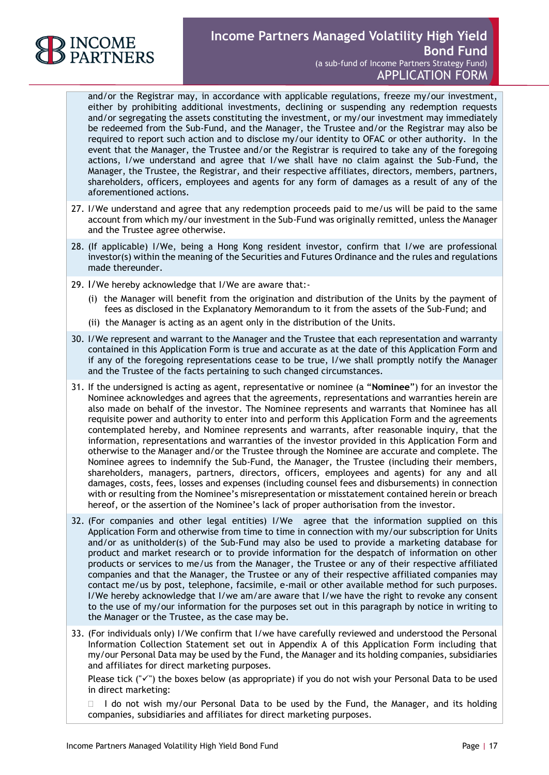

and/or the Registrar may, in accordance with applicable regulations, freeze my/our investment, either by prohibiting additional investments, declining or suspending any redemption requests and/or segregating the assets constituting the investment, or my/our investment may immediately be redeemed from the Sub-Fund, and the Manager, the Trustee and/or the Registrar may also be required to report such action and to disclose my/our identity to OFAC or other authority. In the event that the Manager, the Trustee and/or the Registrar is required to take any of the foregoing actions, I/we understand and agree that I/we shall have no claim against the Sub-Fund, the Manager, the Trustee, the Registrar, and their respective affiliates, directors, members, partners, shareholders, officers, employees and agents for any form of damages as a result of any of the aforementioned actions.

- 27. I/We understand and agree that any redemption proceeds paid to me/us will be paid to the same account from which my/our investment in the Sub-Fund was originally remitted, unless the Manager and the Trustee agree otherwise.
- 28. (If applicable) I/We, being a Hong Kong resident investor, confirm that I/we are professional investor(s) within the meaning of the Securities and Futures Ordinance and the rules and regulations made thereunder.
- 29. I/We hereby acknowledge that I/We are aware that:-
	- (i) the Manager will benefit from the origination and distribution of the Units by the payment of fees as disclosed in the Explanatory Memorandum to it from the assets of the Sub-Fund; and
	- (ii) the Manager is acting as an agent only in the distribution of the Units.
- 30. I/We represent and warrant to the Manager and the Trustee that each representation and warranty contained in this Application Form is true and accurate as at the date of this Application Form and if any of the foregoing representations cease to be true, I/we shall promptly notify the Manager and the Trustee of the facts pertaining to such changed circumstances.
- 31. If the undersigned is acting as agent, representative or nominee (a "**Nominee**") for an investor the Nominee acknowledges and agrees that the agreements, representations and warranties herein are also made on behalf of the investor. The Nominee represents and warrants that Nominee has all requisite power and authority to enter into and perform this Application Form and the agreements contemplated hereby, and Nominee represents and warrants, after reasonable inquiry, that the information, representations and warranties of the investor provided in this Application Form and otherwise to the Manager and/or the Trustee through the Nominee are accurate and complete. The Nominee agrees to indemnify the Sub-Fund, the Manager, the Trustee (including their members, shareholders, managers, partners, directors, officers, employees and agents) for any and all damages, costs, fees, losses and expenses (including counsel fees and disbursements) in connection with or resulting from the Nominee's misrepresentation or misstatement contained herein or breach hereof, or the assertion of the Nominee's lack of proper authorisation from the investor.
- 32. (For companies and other legal entities) I/We agree that the information supplied on this Application Form and otherwise from time to time in connection with my/our subscription for Units and/or as unitholder(s) of the Sub-Fund may also be used to provide a marketing database for product and market research or to provide information for the despatch of information on other products or services to me/us from the Manager, the Trustee or any of their respective affiliated companies and that the Manager, the Trustee or any of their respective affiliated companies may contact me/us by post, telephone, facsimile, e-mail or other available method for such purposes. I/We hereby acknowledge that I/we am/are aware that I/we have the right to revoke any consent to the use of my/our information for the purposes set out in this paragraph by notice in writing to the Manager or the Trustee, as the case may be.
- 33. (For individuals only) I/We confirm that I/we have carefully reviewed and understood the Personal Information Collection Statement set out in Appendix A of this Application Form including that my/our Personal Data may be used by the Fund, the Manager and its holding companies, subsidiaries and affiliates for direct marketing purposes.

Please tick (" $\checkmark$ ") the boxes below (as appropriate) if you do not wish your Personal Data to be used in direct marketing:

 $\Box$  I do not wish my/our Personal Data to be used by the Fund, the Manager, and its holding companies, subsidiaries and affiliates for direct marketing purposes.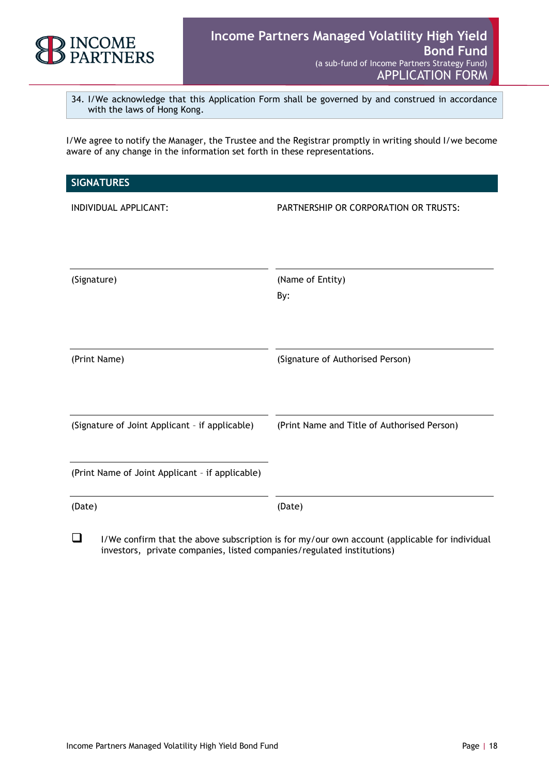

34. I/We acknowledge that this Application Form shall be governed by and construed in accordance with the laws of Hong Kong.

I/We agree to notify the Manager, the Trustee and the Registrar promptly in writing should I/we become aware of any change in the information set forth in these representations.

| <b>SIGNATURES</b>                               |                                             |
|-------------------------------------------------|---------------------------------------------|
| INDIVIDUAL APPLICANT:                           | PARTNERSHIP OR CORPORATION OR TRUSTS:       |
| (Signature)                                     | (Name of Entity)<br>By:                     |
| (Print Name)                                    | (Signature of Authorised Person)            |
| (Signature of Joint Applicant - if applicable)  | (Print Name and Title of Authorised Person) |
| (Print Name of Joint Applicant - if applicable) |                                             |
| (Date)                                          | (Date)                                      |

 $\Box$  I/We confirm that the above subscription is for my/our own account (applicable for individual investors, private companies, listed companies/regulated institutions)